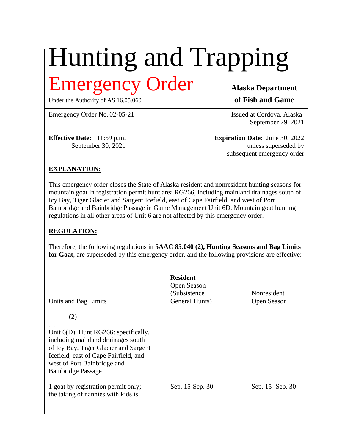# Hunting and Trapping Emergency Order **Alaska Department**

Under the Authority of AS 16.05.060 **of Fish and Game** 

Emergency Order No. 02-05-21 Issued at Cordova, Alaska

September 29, 2021

**Effective Date:** 11:59 p.m. **Expiration Date:** June 30, 2022 September 30, 2021 unless superseded by subsequent emergency order

## **EXPLANATION:**

This emergency order closes the State of Alaska resident and nonresident hunting seasons for mountain goat in registration permit hunt area RG266, including mainland drainages south of Icy Bay, Tiger Glacier and Sargent Icefield, east of Cape Fairfield, and west of Port Bainbridge and Bainbridge Passage in Game Management Unit 6D. Mountain goat hunting regulations in all other areas of Unit 6 are not affected by this emergency order.

#### **REGULATION:**

Therefore, the following regulations in **5AAC 85.040 (2), Hunting Seasons and Bag Limits for Goat**, are superseded by this emergency order, and the following provisions are effective:

| Units and Bag Limits                                                                                                                                                                                                        | <b>Resident</b><br>Open Season<br>(Subsistence<br>General Hunts) | Nonresident<br>Open Season |
|-----------------------------------------------------------------------------------------------------------------------------------------------------------------------------------------------------------------------------|------------------------------------------------------------------|----------------------------|
| (2)<br>Unit $6(D)$ , Hunt RG266: specifically,<br>including mainland drainages south<br>of Icy Bay, Tiger Glacier and Sargent<br>Icefield, east of Cape Fairfield, and<br>west of Port Bainbridge and<br>Bainbridge Passage |                                                                  |                            |
| 1 goat by registration permit only;<br>the taking of nannies with kids is                                                                                                                                                   | Sep. 15-Sep. 30                                                  | Sep. 15 - Sep. 30          |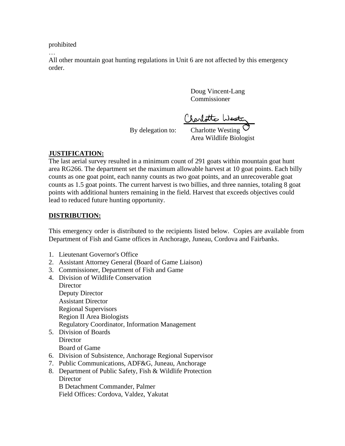prohibited

…

All other mountain goat hunting regulations in Unit 6 are not affected by this emergency order.

> Doug Vincent-Lang Commissioner

By delegation to: Charlotto Westing

Charlotte Westing Area Wildlife Biologist

## **JUSTIFICATION:**

The last aerial survey resulted in a minimum count of 291 goats within mountain goat hunt area RG266. The department set the maximum allowable harvest at 10 goat points. Each billy counts as one goat point, each nanny counts as two goat points, and an unrecoverable goat counts as 1.5 goat points. The current harvest is two billies, and three nannies, totaling 8 goat points with additional hunters remaining in the field. Harvest that exceeds objectives could lead to reduced future hunting opportunity.

### **DISTRIBUTION:**

This emergency order is distributed to the recipients listed below. Copies are available from Department of Fish and Game offices in Anchorage, Juneau, Cordova and Fairbanks.

- 1. Lieutenant Governor's Office
- 2. Assistant Attorney General (Board of Game Liaison)
- 3. Commissioner, Department of Fish and Game
- 4. Division of Wildlife Conservation
	- **Director** Deputy Director Assistant Director Regional Supervisors Region II Area Biologists Regulatory Coordinator, Information Management
- 5. Division of Boards **Director** Board of Game
- 6. Division of Subsistence, Anchorage Regional Supervisor
- 7. Public Communications, ADF&G, Juneau, Anchorage
- 8. Department of Public Safety, Fish & Wildlife Protection **Director**

B Detachment Commander, Palmer Field Offices: Cordova, Valdez, Yakutat